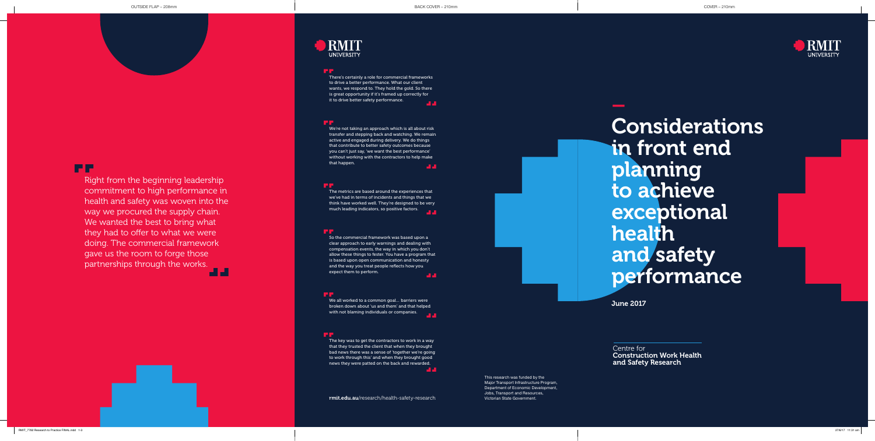–

Considerations in front end planning to achieve exceptional health and safety performance

Right from the beginning leadership commitment to high performance in health and safety was woven into the way we procured the supply chain. We wanted the best to bring what they had to offer to what we were doing. The commercial framework gave us the room to forge those partnerships through the works. a a



June 2017

We're not taking an approach which is all about risk transfer and stepping back and watching. We remain active and engaged during delivery. We do things that contribute to better safety outcomes because you can't just say, 'we want the best performance' without working with the contractors to help make that happen. **ALC** 

We all worked to a common goal… barriers were broken down about 'us and them' and that helped with not blaming individuals or companies.

So the commercial framework was based upon a clear approach to early warnings and dealing with compensation events, the way in which you don't allow these things to fester. You have a program that is based upon open communication and honesty and the way you treat people reflects how you expect them to perform. **ALC** 

#### FГ

There's certainly a role for commercial frameworks to drive a better performance. What our client wants, we respond to. They hold the gold. So there is great opportunity if it's framed up correctly for it to drive better safety performance.

#### mm.

The key was to get the contractors to work in a way that they trusted the client that when they brought bad news there was a sense of 'together we're going to work through this' and when they brought good news they were patted on the back and rewarded. المالي

> This research was funded by the Major Transport Infrastructure Program, Department of Economic Development, Jobs, Transport and Resources, Victorian State Government.



The metrics are based around the experiences that we've had in terms of incidents and things that we think have worked well. They're designed to be very much leading indicators, so positive factors.

## rmit.edu.au/research/health-safety-research

# **FF**

Centre for Construction Work Health and Safety Research

## **DRMIT UNIVERSITY**

#### والما